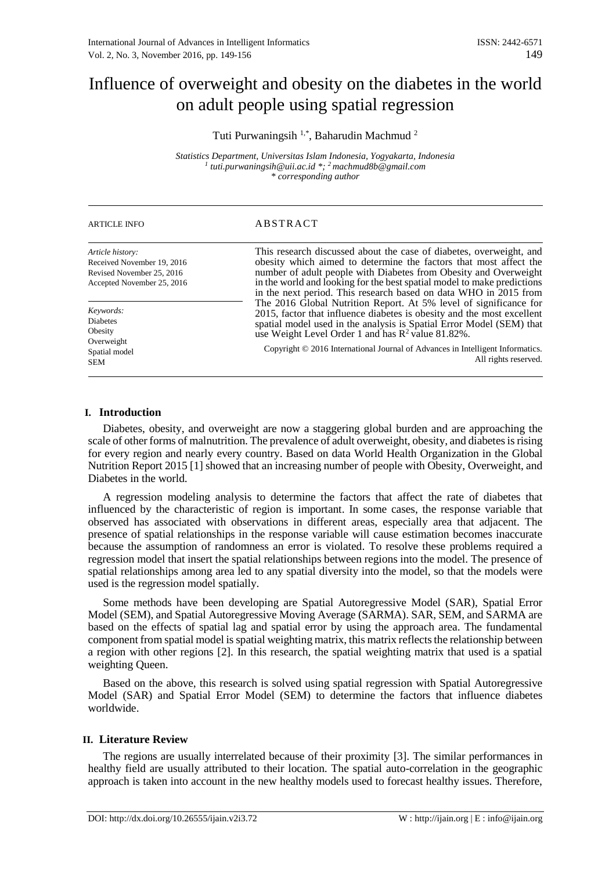# Influence of overweight and obesity on the diabetes in the world on adult people using spatial regression

Tuti Purwaningsih<sup>1,\*</sup>, Baharudin Machmud<sup>2</sup>

*Statistics Department, Universitas Islam Indonesia, Yogyakarta, Indonesia 1 tuti.purwaningsih@uii.ac.id \*; <sup>2</sup>machmud8b@gmail.com \* corresponding author*

| <b>ARTICLE INFO</b>                                                                                       | ABSTRACT                                                                                                                                                                                                                                                                                                                                                                                       |
|-----------------------------------------------------------------------------------------------------------|------------------------------------------------------------------------------------------------------------------------------------------------------------------------------------------------------------------------------------------------------------------------------------------------------------------------------------------------------------------------------------------------|
| Article history:<br>Received November 19, 2016<br>Revised November 25, 2016<br>Accepted November 25, 2016 | This research discussed about the case of diabetes, overweight, and<br>obesity which aimed to determine the factors that most affect the<br>number of adult people with Diabetes from Obesity and Overweight<br>in the world and looking for the best spatial model to make predictions<br>in the next period. This research based on data WHO in 2015 from                                    |
| Keywords:<br><b>Diabetes</b><br>Obesity<br>Overweight<br>Spatial model<br><b>SEM</b>                      | The 2016 Global Nutrition Report. At 5% level of significance for<br>2015, factor that influence diabetes is obesity and the most excellent<br>spatial model used in the analysis is Spatial Error Model (SEM) that<br>use Weight Level Order 1 and has R <sup>2</sup> value 81.82%.<br>Copyright © 2016 International Journal of Advances in Intelligent Informatics.<br>All rights reserved. |

### **I. Introduction**

Diabetes, obesity, and overweight are now a staggering global burden and are approaching the scale of other forms of malnutrition. The prevalence of adult overweight, obesity, and diabetes is rising for every region and nearly every country. Based on data World Health Organization in the Global Nutrition Report 2015 [1] showed that an increasing number of people with Obesity, Overweight, and Diabetes in the world.

A regression modeling analysis to determine the factors that affect the rate of diabetes that influenced by the characteristic of region is important. In some cases, the response variable that observed has associated with observations in different areas, especially area that adjacent. The presence of spatial relationships in the response variable will cause estimation becomes inaccurate because the assumption of randomness an error is violated. To resolve these problems required a regression model that insert the spatial relationships between regions into the model. The presence of spatial relationships among area led to any spatial diversity into the model, so that the models were used is the regression model spatially.

Some methods have been developing are Spatial Autoregressive Model (SAR), Spatial Error Model (SEM), and Spatial Autoregressive Moving Average (SARMA). SAR, SEM, and SARMA are based on the effects of spatial lag and spatial error by using the approach area. The fundamental component from spatial model is spatial weighting matrix, this matrix reflects the relationship between a region with other regions [2]. In this research, the spatial weighting matrix that used is a spatial weighting Queen.

Based on the above, this research is solved using spatial regression with Spatial Autoregressive Model (SAR) and Spatial Error Model (SEM) to determine the factors that influence diabetes worldwide.

# **II. Literature Review**

The regions are usually interrelated because of their proximity [3]. The similar performances in healthy field are usually attributed to their location. The spatial auto-correlation in the geographic approach is taken into account in the new healthy models used to forecast healthy issues. Therefore,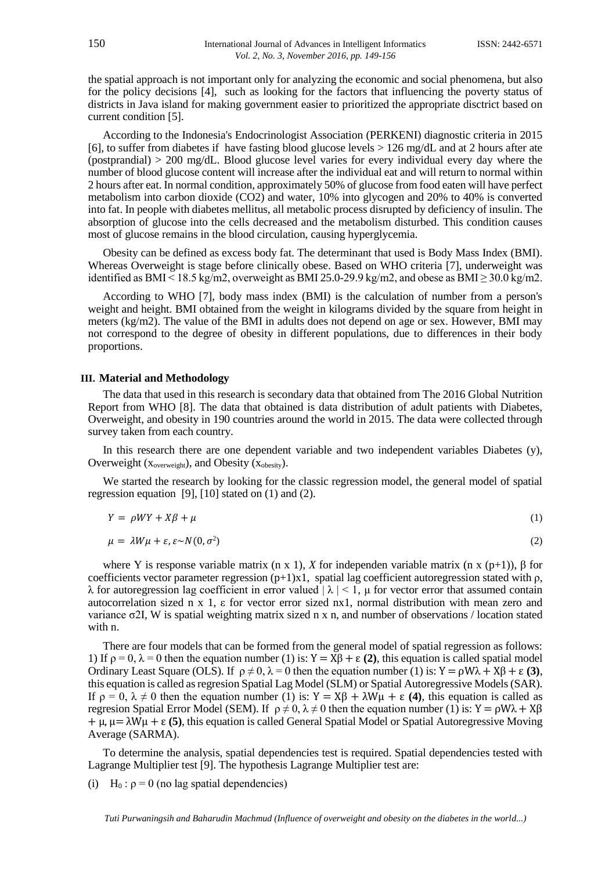the spatial approach is not important only for analyzing the economic and social phenomena, but also for the policy decisions [4], such as looking for the factors that influencing the poverty status of districts in Java island for making government easier to prioritized the appropriate disctrict based on current condition [5].

According to the Indonesia's Endocrinologist Association (PERKENI) diagnostic criteria in 2015 [6], to suffer from diabetes if have fasting blood glucose levels  $> 126$  mg/dL and at 2 hours after ate (postprandial)  $> 200 \text{ mg/dL}$ . Blood glucose level varies for every individual every day where the number of blood glucose content will increase after the individual eat and will return to normal within 2 hours after eat. In normal condition, approximately 50% of glucose from food eaten will have perfect metabolism into carbon dioxide (CO2) and water, 10% into glycogen and 20% to 40% is converted into fat. In people with diabetes mellitus, all metabolic process disrupted by deficiency of insulin. The absorption of glucose into the cells decreased and the metabolism disturbed. This condition causes most of glucose remains in the blood circulation, causing hyperglycemia.

Obesity can be defined as excess body fat. The determinant that used is Body Mass Index (BMI). Whereas Overweight is stage before clinically obese. Based on WHO criteria [7], underweight was identified as BMI $\leq$ 18.5 kg/m2, overweight as BMI 25.0-29.9 kg/m2, and obese as BMI $\geq$  30.0 kg/m2.

According to WHO [7], body mass index (BMI) is the calculation of number from a person's weight and height. BMI obtained from the weight in kilograms divided by the square from height in meters (kg/m2). The value of the BMI in adults does not depend on age or sex. However, BMI may not correspond to the degree of obesity in different populations, due to differences in their body proportions.

#### **III. Material and Methodology**

The data that used in this research is secondary data that obtained from The 2016 Global Nutrition Report from WHO [8]. The data that obtained is data distribution of adult patients with Diabetes, Overweight, and obesity in 190 countries around the world in 2015. The data were collected through survey taken from each country.

In this research there are one dependent variable and two independent variables Diabetes (y), Overweight ( $x_{\text{overs weight}}$ ), and Obesity ( $x_{\text{obsity}}$ ).

We started the research by looking for the classic regression model, the general model of spatial regression equation [9], [10] stated on (1) and (2).

$$
Y = \rho W Y + X\beta + \mu \tag{1}
$$

$$
\mu = \lambda W \mu + \varepsilon, \varepsilon \sim N(0, \sigma^2) \tag{2}
$$

where Y is response variable matrix (n x 1), *X* for independen variable matrix (n x (p+1)), β for coefficients vector parameter regression  $(p+1)x1$ , spatial lag coefficient autoregression stated with  $\rho$ , λ for autoregression lag coefficient in error valued  $|\lambda|$  < 1, μ for vector error that assumed contain autocorrelation sized n x 1, ε for vector error sized nx1, normal distribution with mean zero and variance  $\sigma$ 2I, W is spatial weighting matrix sized n x n, and number of observations / location stated with n.

There are four models that can be formed from the general model of spatial regression as follows: 1) If  $\rho = 0$ ,  $\lambda = 0$  then the equation number (1) is:  $Y = X\beta + \varepsilon$  (2), this equation is called spatial model Ordinary Least Square (OLS). If  $\rho \neq 0$ ,  $\lambda = 0$  then the equation number (1) is:  $Y = \rho W \lambda + X\beta + \epsilon (3)$ , this equation is called asregresion Spatial Lag Model (SLM) or Spatial Autoregressive Models (SAR). If ρ = 0, λ ≠ 0 then the equation number (1) is: Y = Xβ + λWμ + ε **(4)**, this equation is called as regresion Spatial Error Model (SEM). If  $\rho \neq 0$ ,  $\lambda \neq 0$  then the equation number (1) is: Y =  $\rho W\lambda + X\beta$ + μ, μ= λWμ + ε **(5)**, this equation is called General Spatial Model or Spatial Autoregressive Moving Average (SARMA).

To determine the analysis, spatial dependencies test is required. Spatial dependencies tested with Lagrange Multiplier test [9]. The hypothesis Lagrange Multiplier test are:

(i) H<sub>0</sub> :  $\rho = 0$  (no lag spatial dependencies)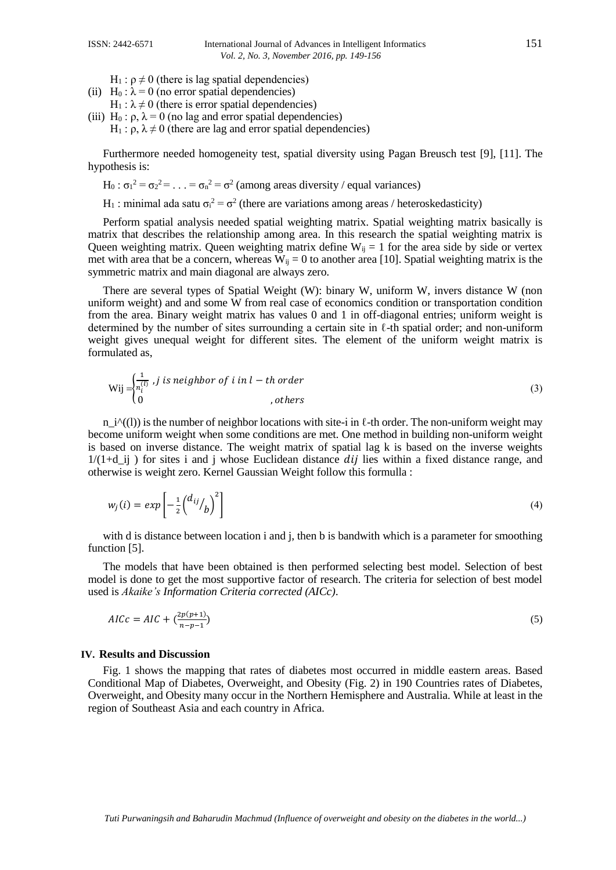- $H_1$ :  $ρ ≠ 0$  (there is lag spatial dependencies)
- (ii) H<sub>0</sub> :  $\lambda$  = 0 (no error spatial dependencies)
- $H_1$ :  $\lambda \neq 0$  (there is error spatial dependencies)
- (iii) H<sub>0</sub> :  $\rho$ ,  $\lambda = 0$  (no lag and error spatial dependencies) H<sub>1</sub> : ρ,  $\lambda \neq 0$  (there are lag and error spatial dependencies)

Furthermore needed homogeneity test, spatial diversity using Pagan Breusch test [9], [11]. The hypothesis is:

- H<sub>0</sub> :  $\sigma_1^2 = \sigma_2^2 = \ldots = \sigma_n^2 = \sigma^2$  (among areas diversity / equal variances)
- H<sub>1</sub>: minimal ada satu  $\sigma_i^2 = \sigma^2$  (there are variations among areas / heteroskedasticity)

Perform spatial analysis needed spatial weighting matrix. Spatial weighting matrix basically is matrix that describes the relationship among area. In this research the spatial weighting matrix is Queen weighting matrix. Queen weighting matrix define  $W_{ij} = 1$  for the area side by side or vertex met with area that be a concern, whereas  $W_{ij} = 0$  to another area [10]. Spatial weighting matrix is the symmetric matrix and main diagonal are always zero.

There are several types of Spatial Weight (W): binary W, uniform W, invers distance W (non uniform weight) and and some W from real case of economics condition or transportation condition from the area. Binary weight matrix has values 0 and 1 in off-diagonal entries; uniform weight is determined by the number of sites surrounding a certain site in  $\ell$ -th spatial order; and non-uniform weight gives unequal weight for different sites. The element of the uniform weight matrix is formulated as,

$$
\text{Wij} = \begin{cases} \frac{1}{n_i^{(l)}} & \text{if } i \text{ is neighbor of } i \text{ in } l - \text{th order} \\ 0 & \text{otherwise} \end{cases} \tag{3}
$$

 $n_i^{\alpha}((l))$  is the number of neighbor locations with site-i in  $\ell$ -th order. The non-uniform weight may become uniform weight when some conditions are met. One method in building non-uniform weight is based on inverse distance. The weight matrix of spatial lag k is based on the inverse weights  $1/(1+d)$  ij) for sites i and j whose Euclidean distance *dij* lies within a fixed distance range, and otherwise is weight zero. Kernel Gaussian Weight follow this formulla :

$$
w_j(i) = exp\left[-\frac{1}{2}\left(\frac{d_{ij}}{b}\right)^2\right]
$$
\n(4)

with d is distance between location i and j, then b is bandwith which is a parameter for smoothing function [5].

The models that have been obtained is then performed selecting best model. Selection of best model is done to get the most supportive factor of research. The criteria for selection of best model used is *Akaike's Information Criteria corrected (AICc)*.

$$
AICc = AIC + \left(\frac{2p(p+1)}{n-p-1}\right) \tag{5}
$$

#### **IV. Results and Discussion**

Fig. 1 shows the mapping that rates of diabetes most occurred in middle eastern areas. Based Conditional Map of Diabetes, Overweight, and Obesity (Fig. 2) in 190 Countries rates of Diabetes, Overweight, and Obesity many occur in the Northern Hemisphere and Australia. While at least in the region of Southeast Asia and each country in Africa.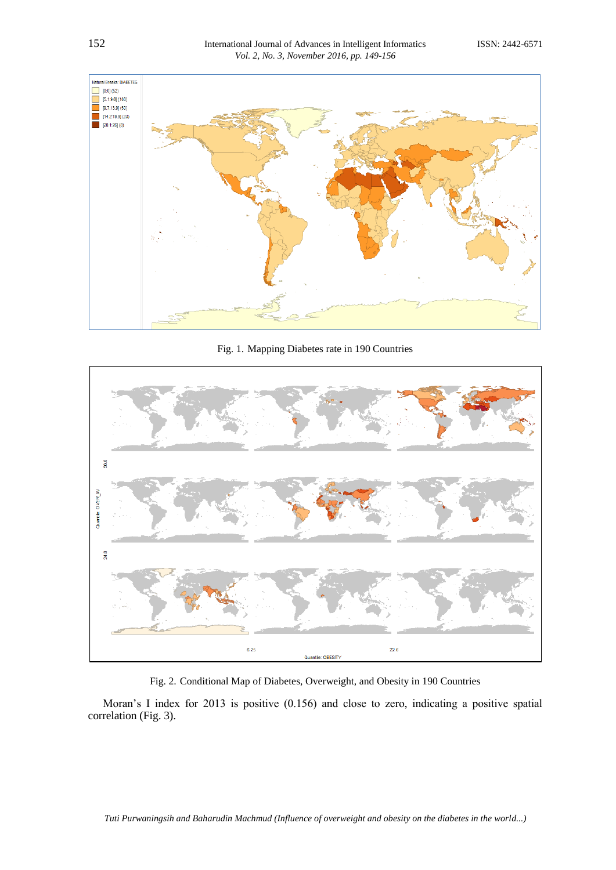

Fig. 1. Mapping Diabetes rate in 190 Countries



Fig. 2. Conditional Map of Diabetes, Overweight, and Obesity in 190 Countries

Moran's I index for 2013 is positive (0.156) and close to zero, indicating a positive spatial correlation (Fig. 3).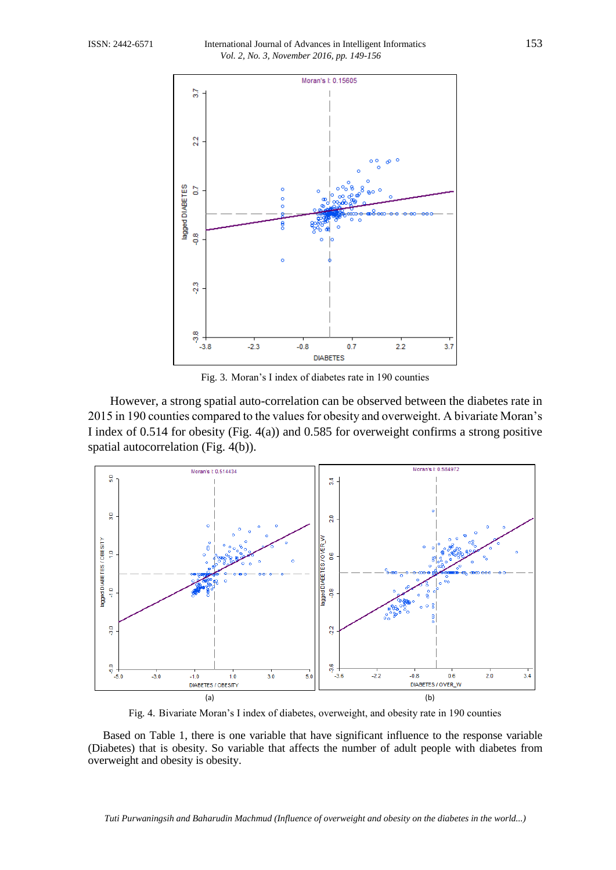

Fig. 3. Moran's I index of diabetes rate in 190 counties

However, a strong spatial auto-correlation can be observed between the diabetes rate in 2015 in 190 counties compared to the values for obesity and overweight. A bivariate Moran's I index of 0.514 for obesity (Fig. 4(a)) and 0.585 for overweight confirms a strong positive spatial autocorrelation (Fig. 4(b)).



Fig. 4. Bivariate Moran's I index of diabetes, overweight, and obesity rate in 190 counties

Based on Table 1, there is one variable that have significant influence to the response variable (Diabetes) that is obesity. So variable that affects the number of adult people with diabetes from overweight and obesity is obesity.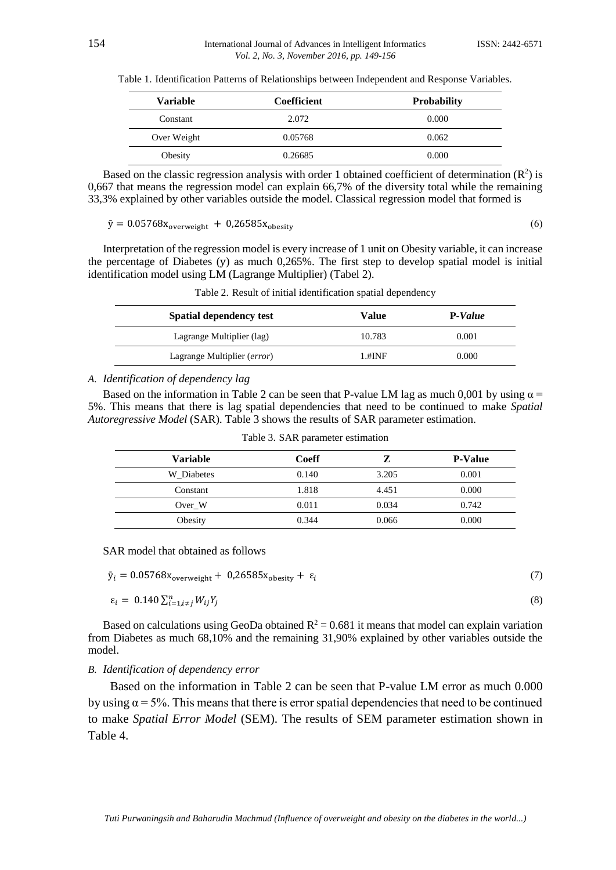|  | Table 1. Identification Patterns of Relationships between Independent and Response Variables. |  |  |
|--|-----------------------------------------------------------------------------------------------|--|--|
|  |                                                                                               |  |  |

| <b>Variable</b> | <b>Coefficient</b> | <b>Probability</b> |
|-----------------|--------------------|--------------------|
| Constant        | 2.072              | 0.000              |
| Over Weight     | 0.05768            | 0.062              |
| Obesity         | 0.26685            | 0.000              |

Based on the classic regression analysis with order 1 obtained coefficient of determination  $(R^2)$  is 0,667 that means the regression model can explain 66,7% of the diversity total while the remaining 33,3% explained by other variables outside the model. Classical regression model that formed is

 $\bar{y} = 0.05768x_{\text{overweight}} + 0.26585x_{\text{obesity}}$  (6)

(8)

Interpretation of the regression model is every increase of 1 unit on Obesity variable, it can increase the percentage of Diabetes (y) as much 0,265%. The first step to develop spatial model is initial identification model using LM (Lagrange Multiplier) (Tabel 2).

| Table 2. Result of initial identification spatial dependency |  |  |  |
|--------------------------------------------------------------|--|--|--|
|--------------------------------------------------------------|--|--|--|

| <b>Spatial dependency test</b> | Value     | P-Value |
|--------------------------------|-----------|---------|
| Lagrange Multiplier (lag)      | 10.783    | 0.001   |
| Lagrange Multiplier (error)    | $1.$ #INF | 0.000   |

# *A. Identification of dependency lag*

Based on the information in Table 2 can be seen that P-value LM lag as much 0,001 by using  $\alpha$  = 5%. This means that there is lag spatial dependencies that need to be continued to make *Spatial Autoregressive Model* (SAR). Table 3 shows the results of SAR parameter estimation.

| <b>Variable</b> | Coeff |       | <b>P-Value</b> |
|-----------------|-------|-------|----------------|
| W Diabetes      | 0.140 | 3.205 | 0.001          |
| Constant        | 1.818 | 4.451 | 0.000          |
| Over W          | 0.011 | 0.034 | 0.742          |
| Obesity         | 0.344 | 0.066 | 0.000          |

Table 3. SAR parameter estimation

SAR model that obtained as follows

| $\bar{y}_i = 0.05768x_{\text{overweight}} + 0.26585x_{\text{obesity}} + \varepsilon_i$ |  |  |
|----------------------------------------------------------------------------------------|--|--|
|----------------------------------------------------------------------------------------|--|--|

$$
\varepsilon_i = 0.140 \sum_{i=1, i \neq j}^{n} W_{ij} Y_j
$$

Based on calculations using GeoDa obtained  $R^2 = 0.681$  it means that model can explain variation from Diabetes as much 68,10% and the remaining 31,90% explained by other variables outside the model.

#### *B. Identification of dependency error*

Based on the information in Table 2 can be seen that P-value LM error as much 0.000 by using  $\alpha = 5\%$ . This means that there is error spatial dependencies that need to be continued to make *Spatial Error Model* (SEM). The results of SEM parameter estimation shown in Table 4.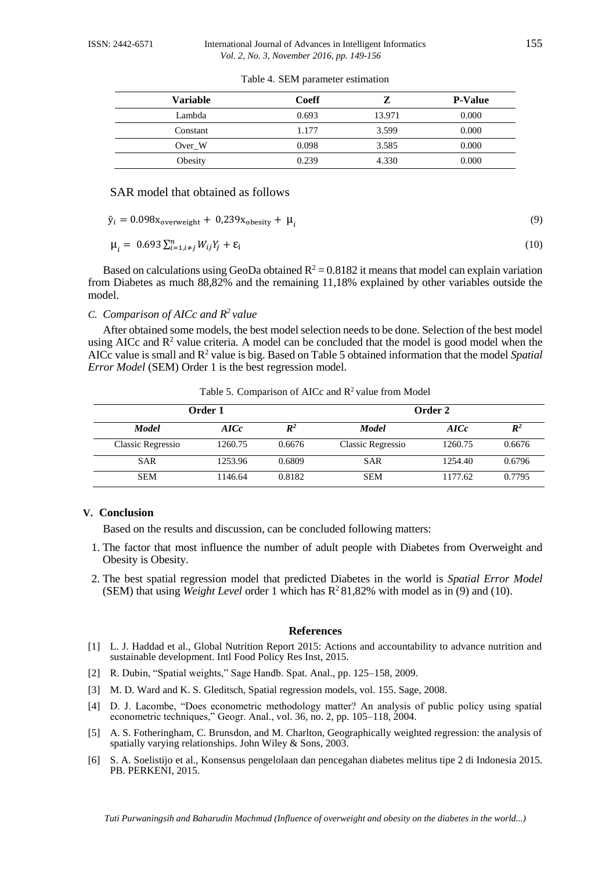| Variable | Coeff |        | <b>P-Value</b> |
|----------|-------|--------|----------------|
| Lambda   | 0.693 | 13.971 | 0.000          |
| Constant | 1.177 | 3.599  | 0.000          |
| Over W   | 0.098 | 3.585  | 0.000          |
| Obesity  | 0.239 | 4.330  | 0.000          |

Table 4. SEM parameter estimation

# SAR model that obtained as follows

 $\bar{y}_i = 0.098x_{\text{overweight}} + 0.239x_{\text{obesity}} + \mu_i$ 

$$
\mu_i = 0.693 \sum_{i=1, i \neq j}^{n} W_{ij} Y_j + \varepsilon_i
$$
\n(10)

Based on calculations using GeoDa obtained  $R^2 = 0.8182$  it means that model can explain variation from Diabetes as much 88,82% and the remaining 11,18% explained by other variables outside the model.

*C. Comparison of AICc and R <sup>2</sup>value*

After obtained some models, the best model selection needs to be done. Selection of the best model using AICc and  $\mathbb{R}^2$  value criteria. A model can be concluded that the model is good model when the AICc value is small and R <sup>2</sup> value is big. Based on Table 5 obtained information that the model *Spatial Error Model* (SEM) Order 1 is the best regression model.

| Order 1           |         |                |                   | Order 2 |                |
|-------------------|---------|----------------|-------------------|---------|----------------|
| <b>Model</b>      | AICc    | $\mathbb{R}^2$ | <b>Model</b>      | AICc    | $\mathbb{R}^2$ |
| Classic Regressio | 1260.75 | 0.6676         | Classic Regressio | 1260.75 | 0.6676         |
| <b>SAR</b>        | 1253.96 | 0.6809         | <b>SAR</b>        | 1254.40 | 0.6796         |
| <b>SEM</b>        | 1146.64 | 0.8182         | <b>SEM</b>        | 1177.62 | 0.7795         |

Table 5. Comparison of AICc and  $\mathbb{R}^2$  value from Model

### **V. Conclusion**

Based on the results and discussion, can be concluded following matters:

- 1. The factor that most influence the number of adult people with Diabetes from Overweight and Obesity is Obesity.
- 2. The best spatial regression model that predicted Diabetes in the world is *Spatial Error Model* (SEM) that using *Weight Level* order 1 which has R <sup>2</sup> 81,82% with model as in (9) and (10).

#### **References**

- [1] L. J. Haddad et al., Global Nutrition Report 2015: Actions and accountability to advance nutrition and sustainable development. Intl Food Policy Res Inst, 2015.
- [2] R. Dubin, "Spatial weights," Sage Handb. Spat. Anal., pp. 125–158, 2009.
- [3] M. D. Ward and K. S. Gleditsch, Spatial regression models, vol. 155. Sage, 2008.
- [4] D. J. Lacombe, "Does econometric methodology matter? An analysis of public policy using spatial econometric techniques," Geogr. Anal., vol. 36, no. 2, pp. 105–118, 2004.
- [5] A. S. Fotheringham, C. Brunsdon, and M. Charlton, Geographically weighted regression: the analysis of spatially varying relationships. John Wiley & Sons, 2003.
- [6] S. A. Soelistijo et al., Konsensus pengelolaan dan pencegahan diabetes melitus tipe 2 di Indonesia 2015. PB. PERKENI, 2015.

(9)